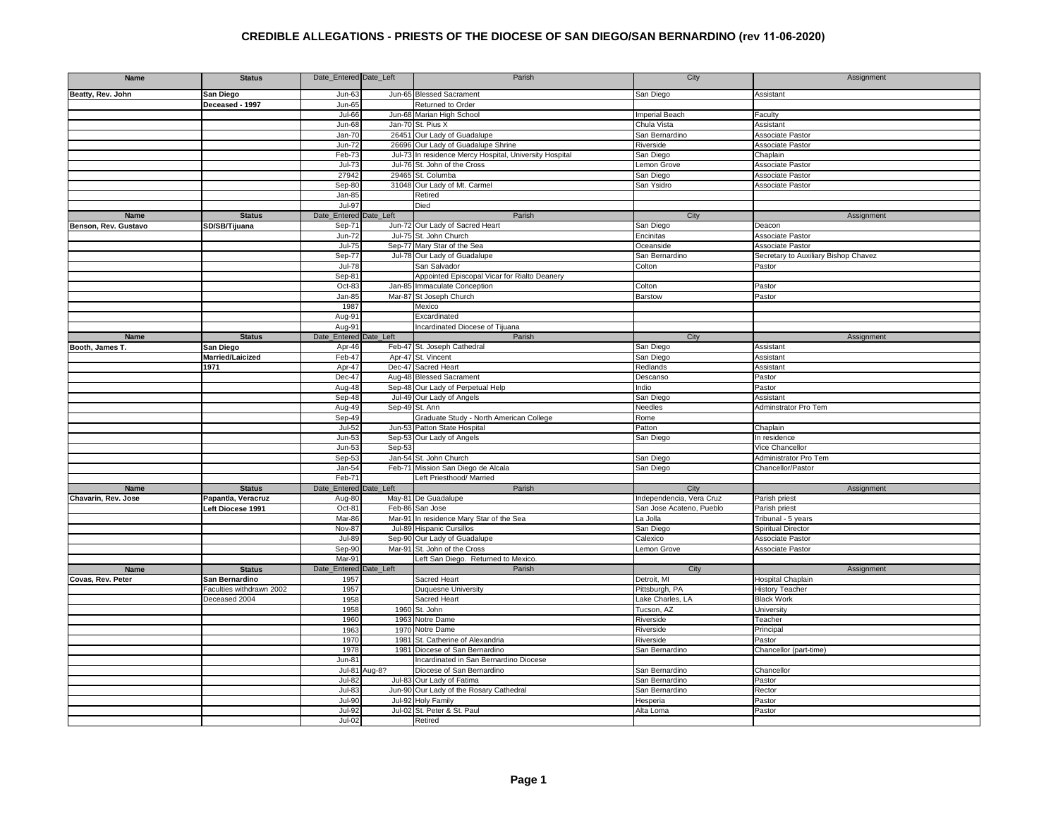| Name                 | <b>Status</b>            | Date_Entered Date_Left |                | Parish                                                  | City                     | Assignment                           |
|----------------------|--------------------------|------------------------|----------------|---------------------------------------------------------|--------------------------|--------------------------------------|
| Beatty, Rev. John    | San Diego                | $Jun-63$               |                | Jun-65 Blessed Sacrament                                | San Diego                | Assistant                            |
|                      | Deceased - 1997          | Jun-65                 |                | Returned to Order                                       |                          |                                      |
|                      |                          | Jul-66                 |                | Jun-68 Marian High School                               | <b>Imperial Beach</b>    | Faculty                              |
|                      |                          | <b>Jun-68</b>          |                | Jan-70 St. Pius X                                       | Chula Vista              | Assistant                            |
|                      |                          | $Jan-70$               | 26451          | Our Lady of Guadalupe                                   | San Bernardino           | <b>Associate Pastor</b>              |
|                      |                          | $Jun-72$               |                | 26696 Our Lady of Guadalupe Shrine                      | Riverside                | Associate Pastor                     |
|                      |                          |                        |                |                                                         |                          |                                      |
|                      |                          | Feb-7                  |                | Jul-73 In residence Mercy Hospital, University Hospital | San Diego                | Chaplain                             |
|                      |                          | $Jul-73$               |                | Jul-76 St. John of the Cross                            | emon Grove               | <b>Associate Pastor</b>              |
|                      |                          | 27942                  |                | 29465 St. Columba                                       | San Diego                | <b>Associate Pastor</b>              |
|                      |                          | Sep-80                 |                | 31048 Our Lady of Mt. Carmel                            | San Ysidro               | <b>Associate Pastor</b>              |
|                      |                          | Jan-85                 |                | Retired                                                 |                          |                                      |
|                      |                          | <b>Jul-97</b>          |                | Died                                                    |                          |                                      |
| Name                 | <b>Status</b>            | Date_Entered Date_Left |                | Parish                                                  | City                     | Assignment                           |
| Benson, Rev. Gustavo | SD/SB/Tijuana            | Sep-71                 |                | Jun-72 Our Lady of Sacred Heart                         | San Diego                | Deacon                               |
|                      |                          | Jun-72                 |                | Jul-75 St. John Church                                  | Encinitas                | <b>Associate Pastor</b>              |
|                      |                          | $Jul-75$               |                | Sep-77 Mary Star of the Sea                             | Oceanside                | <b>Associate Pastor</b>              |
|                      |                          | Sep-77                 |                | Jul-78 Our Lady of Guadalupe                            | San Bernardino           | Secretary to Auxiliary Bishop Chavez |
|                      |                          | Jul-78                 |                | San Salvador                                            | Colton                   | Pastor                               |
|                      |                          | Sep-81                 |                | Appointed Episcopal Vicar for Rialto Deanery            |                          |                                      |
|                      |                          | Oct-83                 |                | Jan-85 Immaculate Conception                            | Colton                   | Pastor                               |
|                      |                          | Jan-85                 | Mar-87         | St Joseph Church                                        | <b>Barstow</b>           | Pastor                               |
|                      |                          | 1987                   |                | Mexico                                                  |                          |                                      |
|                      |                          | Aug-91                 |                | Excardinated                                            |                          |                                      |
|                      |                          | Aug-91                 |                | Incardinated Diocese of Tijuana                         |                          |                                      |
| Name                 | <b>Status</b>            | Date_Entered           | Date_Left      | Parish                                                  | City                     | Assignment                           |
| Booth, James T.      | San Diego                | Apr-46                 |                | Feb-47 St. Joseph Cathedral                             | San Diego                | Assistant                            |
|                      |                          |                        |                |                                                         |                          |                                      |
|                      | Married/Laicized         | Feb-47                 |                | Apr-47 St. Vincent                                      | San Diego                | Assistant<br>Assistant               |
|                      | 1971                     | Apr-47                 |                | Dec-47 Sacred Heart                                     | Redlands                 |                                      |
|                      |                          | Dec-47                 |                | Aug-48 Blessed Sacrament                                | Descanso                 | Pastor                               |
|                      |                          | Aug-48                 |                | Sep-48 Our Lady of Perpetual Help                       | Indio                    | Pastor                               |
|                      |                          | Sep-48                 |                | Jul-49 Our Lady of Angels                               | San Diego                | Assistant                            |
|                      |                          | Aug-49                 | Sep-49 St. Ann |                                                         | Needles                  | Adminstrator Pro Tem                 |
|                      |                          | Sep-49                 |                | Graduate Study - North American College                 | Rome                     |                                      |
|                      |                          | Jul-52                 |                | Jun-53 Patton State Hospital                            | Patton                   | Chaplain                             |
|                      |                          | $Jun-53$               |                | Sep-53 Our Lady of Angels                               | San Diego                | In residence                         |
|                      |                          | $Jun-53$               | Sep-53         |                                                         |                          | Vice Chancellor                      |
|                      |                          | Sep-53                 |                | Jan-54 St. John Church                                  | San Diego                | Administrator Pro Tem                |
|                      |                          | Jan-54                 |                | Feb-71 Mission San Diego de Alcala                      | San Diego                | Chancellor/Pastor                    |
|                      |                          | Feb-71                 |                | Left Priesthood/ Married                                |                          |                                      |
| <b>Name</b>          | <b>Status</b>            | Date_Entered           | Date_Left      | Parish                                                  | City                     | Assignment                           |
| Chavarin, Rev. Jose  | Papantla, Veracruz       | Aug-80                 |                | May-81 De Guadalupe                                     | Independencia, Vera Cruz | Parish priest                        |
|                      | Left Diocese 1991        | Oct-81                 | Feb-86         | San Jose                                                | San Jose Acateno, Pueblo | Parish priest                        |
|                      |                          | Mar-86                 |                | Mar-91 In residence Mary Star of the Sea                | La Jolla                 | Tribunal - 5 years                   |
|                      |                          | Nov-87                 | <b>Jul-89</b>  | <b>Hispanic Cursillos</b>                               | San Diego                | <b>Spiritual Director</b>            |
|                      |                          | $Jul-89$               | Sep-90         | Our Lady of Guadalupe                                   | Calexico                 | <b>Associate Pastor</b>              |
|                      |                          | Sep-90                 |                | Mar-91 St. John of the Cross                            | emon Grove               | Associate Pastor                     |
|                      |                          | Mar-91                 |                | Left San Diego. Returned to Mexico.                     |                          |                                      |
| Name                 | <b>Status</b>            | Date_Entered           | Date_Left      | Parish                                                  | City                     | Assignment                           |
| Covas, Rev. Peter    | San Bernardino           | 1957                   |                | Sacred Heart                                            | Detroit, MI              | Hospital Chaplain                    |
|                      |                          |                        |                |                                                         |                          |                                      |
|                      | Faculties withdrawn 2002 | 1957                   |                | <b>Duquesne University</b>                              | Pittsburgh, PA           | <b>History Teacher</b>               |
|                      | Deceased 2004            | 1958                   |                | Sacred Heart                                            | Lake Charles, LA         | <b>Black Work</b>                    |
|                      |                          | 1958                   |                | 1960 St. John                                           | Tucson, AZ               | University                           |
|                      |                          | 1960                   |                | 1963 Notre Dame                                         | Riverside                | Teacher                              |
|                      |                          | 1963                   |                | 1970 Notre Dame                                         | Riverside                | Principal                            |
|                      |                          | 1970                   | 1981           | St. Catherine of Alexandria                             | Riverside                | Pastor                               |
|                      |                          | 1978                   |                | 1981 Diocese of San Bernardino                          | San Bernardino           | Chancellor (part-time)               |
|                      |                          | Jun-81                 |                | Incardinated in San Bernardino Diocese                  |                          |                                      |
|                      |                          |                        | Jul-81 Aug-8?  | Diocese of San Bernardino                               | San Bernardino           | Chancellor                           |
|                      |                          | $Jul-82$               |                | Jul-83 Our Lady of Fatima                               | San Bernardino           | Pastor                               |
|                      |                          | $Jul-83$               | <b>Jun-90</b>  | Our Lady of the Rosary Cathedral                        | San Bernardino           | Rector                               |
|                      |                          | $Jul-90$               | <b>Jul-92</b>  | <b>Holy Family</b>                                      | Hesperia                 | Pastor                               |
|                      |                          | Jul-92                 |                | Jul-02 St. Peter & St. Paul                             | Alta Loma                | Pastor                               |
|                      |                          | Jul-02                 |                |                                                         |                          |                                      |
|                      |                          |                        |                | Retired                                                 |                          |                                      |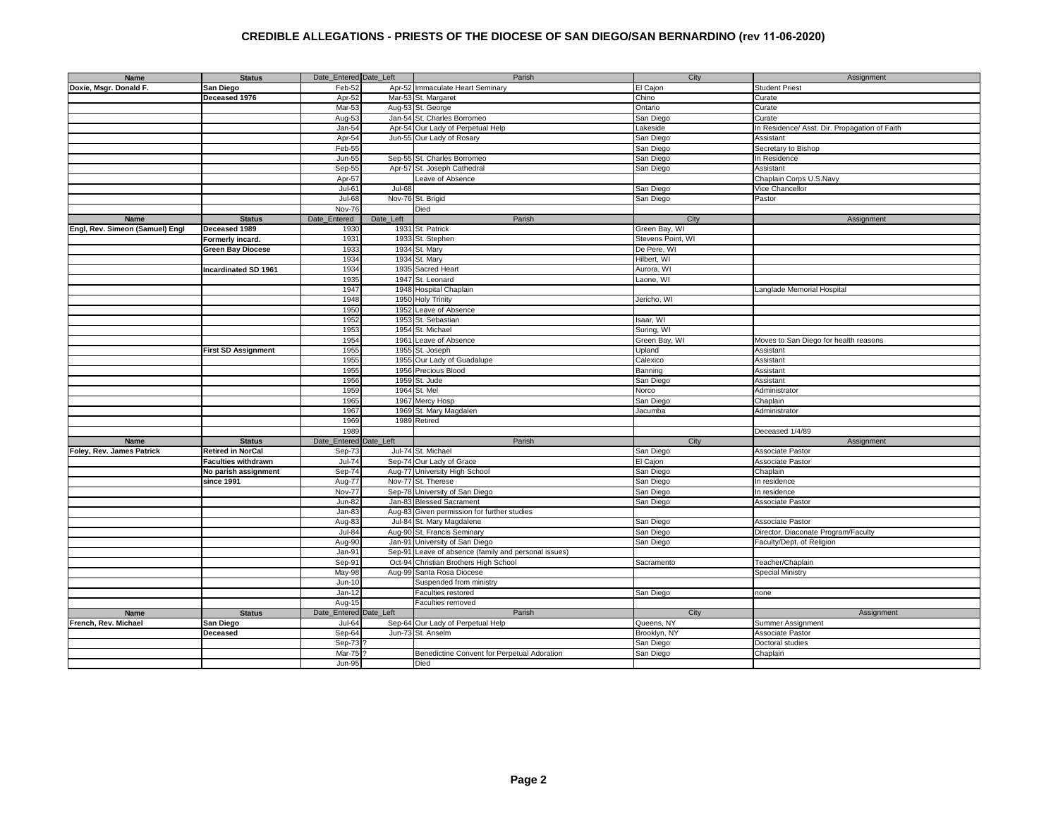| Name                            | <b>Status</b>               | Date_Entered Date_Left |               | Parish                                               | City              | Assignment                                    |
|---------------------------------|-----------------------------|------------------------|---------------|------------------------------------------------------|-------------------|-----------------------------------------------|
| Doxie, Msgr. Donald F.          | San Diego                   | Feb-52                 |               | Apr-52 Immaculate Heart Seminary                     | El Cajon          | <b>Student Priest</b>                         |
|                                 | Deceased 1976               | Apr-52                 |               | Mar-53 St. Margaret                                  | Chino             | Curate                                        |
|                                 |                             | Mar-53                 |               | Aug-53 St. George                                    | Ontario           | Curate                                        |
|                                 |                             |                        |               | Jan-54 St. Charles Borromeo                          |                   | Curate                                        |
|                                 |                             | Aug-53                 |               |                                                      | San Diego         |                                               |
|                                 |                             | Jan-54                 |               | Apr-54 Our Lady of Perpetual Help                    | Lakeside          | In Residence/ Asst. Dir. Propagation of Faith |
|                                 |                             | Apr-54                 |               | Jun-55 Our Lady of Rosary                            | San Diego         | Assistant                                     |
|                                 |                             | Feb-55                 |               |                                                      | San Diego         | Secretary to Bishop                           |
|                                 |                             | Jun-55                 |               | Sep-55 St. Charles Borromeo                          | San Diego         | In Residence                                  |
|                                 |                             | Sep-55                 |               | Apr-57 St. Joseph Cathedral                          | San Diego         | Assistant                                     |
|                                 |                             | Apr-57                 |               | Leave of Absence                                     |                   | Chaplain Corps U.S.Navy                       |
|                                 |                             | Jul-61                 | <b>Jul-68</b> |                                                      | San Diego         | Vice Chancellor                               |
|                                 |                             | Jul-68                 |               | Nov-76 St. Brigid                                    | San Diego         | Pastor                                        |
|                                 |                             | Nov-76                 |               | Died                                                 |                   |                                               |
| Name                            | <b>Status</b>               | Date_Entered           | Date_Left     | Parish                                               | City              | Assignment                                    |
| Engl, Rev. Simeon (Samuel) Engl | Deceased 1989               | 1930                   |               | 1931 St. Patrick                                     | Green Bay, WI     |                                               |
|                                 | Formerly incard.            | 1931                   |               | 1933 St. Stephen                                     | Stevens Point, WI |                                               |
|                                 |                             |                        |               |                                                      |                   |                                               |
|                                 | <b>Green Bay Diocese</b>    | 1933                   |               | 1934 St. Mary                                        | De Pere, WI       |                                               |
|                                 |                             | 1934                   |               | 1934 St. Mary                                        | Hilbert, WI       |                                               |
|                                 | <b>Incardinated SD 1961</b> | 1934                   |               | 1935 Sacred Heart                                    | Aurora, WI        |                                               |
|                                 |                             | 1935                   |               | 1947 St. Leonard                                     | Laone, WI         |                                               |
|                                 |                             | 1947                   |               | 1948 Hospital Chaplain                               |                   | Langlade Memorial Hospital                    |
|                                 |                             | 1948                   |               | 1950 Holy Trinity                                    | Jericho, WI       |                                               |
|                                 |                             | 1950                   |               | 1952 Leave of Absence                                |                   |                                               |
|                                 |                             | 1952                   |               | 1953 St. Sebastian                                   | Isaar, WI         |                                               |
|                                 |                             | 1953                   |               | 1954 St. Michael                                     | Suring, WI        |                                               |
|                                 |                             | 1954                   |               | 1961 Leave of Absence                                | Green Bay, WI     | Moves to San Diego for health reasons         |
|                                 | <b>First SD Assignment</b>  | 1955                   | 1955          | St. Joseph                                           | Upland            | Assistant                                     |
|                                 |                             | 1955                   |               | 1955 Our Lady of Guadalupe                           | Calexico          | Assistant                                     |
|                                 |                             | 1955                   |               | 1956 Precious Blood                                  | Banning           | Assistant                                     |
|                                 |                             | 1956                   |               | 1959 St. Jude                                        | San Diego         | Assistant                                     |
|                                 |                             |                        |               |                                                      |                   |                                               |
|                                 |                             | 1959                   |               | 1964 St. Mel                                         | Norco             | Administrator                                 |
|                                 |                             | 1965                   |               | 1967 Mercy Hosp                                      | San Diego         | Chaplain                                      |
|                                 |                             | 1967                   |               | 1969 St. Mary Magdalen                               | Jacumba           | Administrator                                 |
|                                 |                             | 1969                   |               | 1989 Retired                                         |                   |                                               |
|                                 |                             | 1989                   |               |                                                      |                   | Deceased 1/4/89                               |
| <b>Name</b>                     | <b>Status</b>               | Date_Entered Date_Left |               | Parish                                               | City              | Assignment                                    |
| Foley, Rev. James Patrick       | <b>Retired in NorCal</b>    | Sep-73                 |               | Jul-74 St. Michael                                   | San Diego         | Associate Pastor                              |
|                                 | <b>Faculties withdrawn</b>  | $Jul-74$               |               | Sep-74 Our Lady of Grace                             | El Cajon          | Associate Pastor                              |
|                                 | No parish assignment        | Sep-74                 |               | Aug-77 University High School                        | San Diego         | Chaplain                                      |
|                                 | since 1991                  | Aug-77                 |               | Nov-77 St. Therese                                   | San Diego         | In residence                                  |
|                                 |                             | Nov-77                 |               | Sep-78 University of San Diego                       | San Diego         | In residence                                  |
|                                 |                             | $Jun-82$               |               | Jan-83 Blessed Sacrament                             | San Diego         | Associate Pastor                              |
|                                 |                             | $Jan-83$               |               | Aug-83 Given permission for further studies          |                   |                                               |
|                                 |                             | Aug-83                 |               | Jul-84 St. Mary Magdalene                            | San Diego         | Associate Pastor                              |
|                                 |                             | <b>Jul-84</b>          |               | Aug-90 St. Francis Seminary                          | San Diego         | Director, Diaconate Program/Faculty           |
|                                 |                             | Aug-90                 |               |                                                      |                   | Faculty/Dept. of Religion                     |
|                                 |                             |                        |               | Jan-91 University of San Diego                       | San Diego         |                                               |
|                                 |                             | Jan-91                 |               | Sep-91 Leave of absence (family and personal issues) |                   |                                               |
|                                 |                             | Sep-91                 | Oct-94        | Christian Brothers High School                       | Sacramento        | Teacher/Chaplain                              |
|                                 |                             | May-98                 | Aug-99        | Santa Rosa Diocese                                   |                   | <b>Special Ministry</b>                       |
|                                 |                             | $Jun-10$               |               | Suspended from ministry                              |                   |                                               |
|                                 |                             | $Jan-12$               |               | Faculties restored                                   | San Diego         | none                                          |
|                                 |                             | Aug-15                 |               | <b>Faculties removed</b>                             |                   |                                               |
| Name                            | <b>Status</b>               | Date_Entered Date_Left |               | Parish                                               | City              | Assignment                                    |
| French, Rev. Michael            | San Diego                   | $Jul-64$               |               | Sep-64 Our Lady of Perpetual Help                    | Queens, NY        | Summer Assignment                             |
|                                 | Deceased                    | Sep-64                 |               | Jun-73 St. Anselm                                    | Brooklyn, NY      | <b>Associate Pastor</b>                       |
|                                 |                             | Sep-73                 |               |                                                      | San Diego         | Doctoral studies                              |
|                                 |                             | Mar-75                 |               | Benedictine Convent for Perpetual Adoration          | San Diego         | Chaplain                                      |
|                                 |                             | <b>Jun-95</b>          |               | Died                                                 |                   |                                               |
|                                 |                             |                        |               |                                                      |                   |                                               |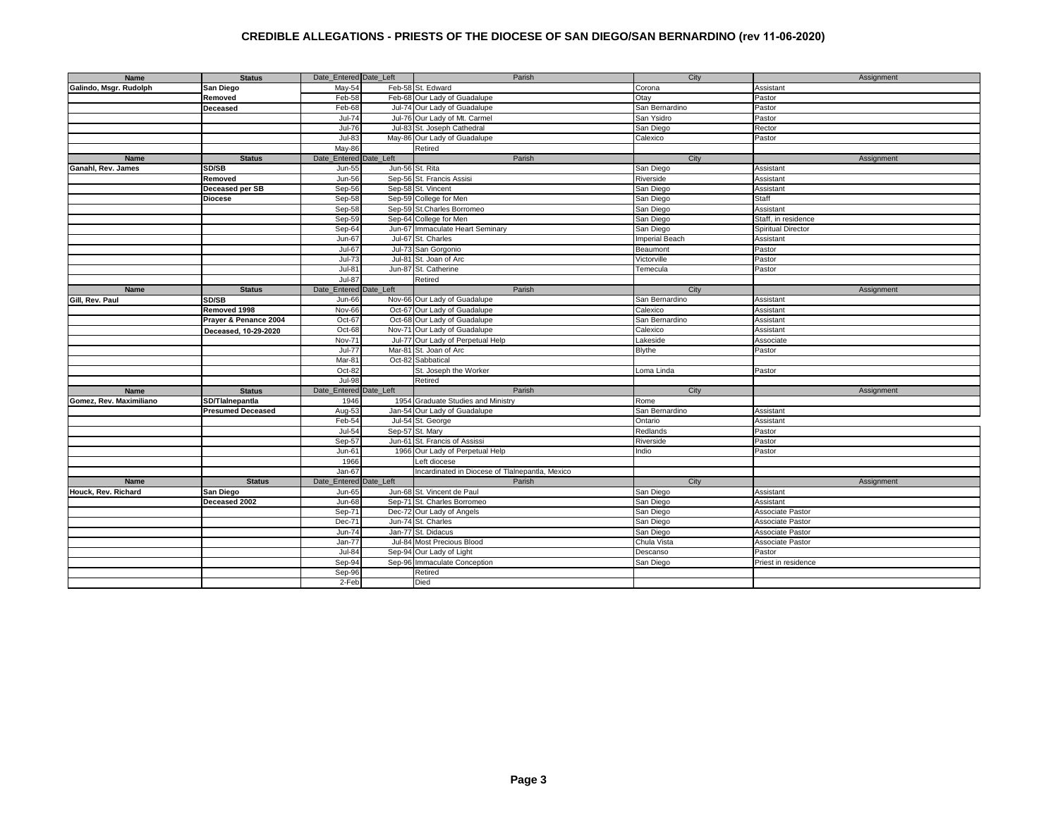| Name                    | <b>Status</b>            | Date Entered Date Left | Parish                                          | City           | Assignment          |
|-------------------------|--------------------------|------------------------|-------------------------------------------------|----------------|---------------------|
| Galindo, Msgr. Rudolph  | San Diego                | May-54                 | Feb-58 St. Edward                               | Corona         | Assistant           |
|                         | Removed                  | Feb-58                 | Feb-68 Our Lady of Guadalupe                    | Otay           | Pastor              |
|                         | <b>Deceased</b>          | Feb-68                 | Jul-74 Our Lady of Guadalupe                    | San Bernardino | Pastor              |
|                         |                          | Jul-74                 | Jul-76 Our Lady of Mt. Carmel                   | San Ysidro     | Pastor              |
|                         |                          | $Jul-76$               | Jul-83 St. Joseph Cathedral                     | San Diego      | Rector              |
|                         |                          | $Jul-83$               | May-86 Our Lady of Guadalupe                    | Calexico       | Pastor              |
|                         |                          | May-86                 | Retired                                         |                |                     |
| <b>Name</b>             | <b>Status</b>            | Date Entered Date Left | Parish                                          | City           | Assignment          |
| Ganahl, Rev. James      | SD/SB                    | Jun-55                 | Jun-56 St. Rita                                 | San Diego      | Assistant           |
|                         | Removed                  | Jun-56                 | Sep-56 St. Francis Assisi                       | Riverside      | Assistant           |
|                         | Deceased per SB          | Sep-56                 | Sep-58 St. Vincent                              | San Diego      | Assistant           |
|                         | <b>Diocese</b>           | Sep-58                 | Sep-59 College for Men                          | San Diego      | Staff               |
|                         |                          | Sep-58                 | Sep-59 St.Charles Borromeo                      | San Diego      | Assistant           |
|                         |                          |                        |                                                 |                |                     |
|                         |                          | Sep-59                 | Sep-64 College for Men                          | San Diego      | Staff, in residence |
|                         |                          | Sep-64                 | Jun-67 Immaculate Heart Seminary                | San Diego      | Spiritual Director  |
|                         |                          | Jun-67                 | Jul-67 St. Charles                              | Imperial Beach | Assistant           |
|                         |                          | Jul-67                 | Jul-73 San Gorgonio                             | Beaumont       | Pastor              |
|                         |                          | $Jul-73$               | Jul-81 St. Joan of Arc                          | Victorville    | Pastor              |
|                         |                          | $Jul-81$               | Jun-87 St. Catherine                            | Temecula       | Pastor              |
|                         |                          | <b>Jul-87</b>          | Retired                                         |                |                     |
| Name                    | <b>Status</b>            | Date Entered Date Left | Parish                                          | City           | Assignment          |
| Gill, Rev. Paul         | SD/SB                    | Jun-66                 | Nov-66 Our Lady of Guadalupe                    | San Bernardino | Assistant           |
|                         | Removed 1998             | Nov-66                 | Oct-67 Our Lady of Guadalupe                    | Calexico       | Assistant           |
|                         | Prayer & Penance 2004    | Oct-67                 | Oct-68 Our Lady of Guadalupe                    | San Bernardino | Assistant           |
|                         | Deceased, 10-29-2020     | Oct-68                 | Nov-71 Our Lady of Guadalupe                    | Calexico       | Assistant           |
|                         |                          | Nov-71                 | Jul-77 Our Lady of Perpetual Help               | _akeside       | Associate           |
|                         |                          | <b>Jul-77</b>          | Mar-81 St. Joan of Arc                          | Blythe         | Pastor              |
|                         |                          | Mar-81                 | Oct-82 Sabbatical                               |                |                     |
|                         |                          | Oct-82                 | St. Joseph the Worker                           | Loma Linda     | Pastor              |
|                         |                          | <b>Jul-98</b>          | Retired                                         |                |                     |
| Name                    | <b>Status</b>            | Date_Entered Date_Left | Parish                                          | City           | Assignment          |
| Gomez, Rev. Maximiliano | SD/Tlainepantia          | 1946                   | 1954 Graduate Studies and Ministry              | Rome           |                     |
|                         | <b>Presumed Deceased</b> | Aug-53                 | Jan-54 Our Lady of Guadalupe                    | San Bernardino | Assistant           |
|                         |                          | Feb-54                 | Jul-54 St. George                               | Ontario        | Assistant           |
|                         |                          | Jul-54                 | Sep-57 St. Mary                                 | Redlands       | Pastor              |
|                         |                          | Sep-57                 | Jun-61 St. Francis of Assissi                   | Riverside      | Pastor              |
|                         |                          | Jun-61                 | 1966 Our Lady of Perpetual Help                 | ndio           | Pastor              |
|                         |                          | 1966                   | Left diocese                                    |                |                     |
|                         |                          | Jan-67                 | Incardinated in Diocese of Tlalnepantla, Mexico |                |                     |
| <b>Name</b>             | <b>Status</b>            | Date_Entered Date_Left | Parish                                          | City           | Assignment          |
| Houck, Rev. Richard     | <b>San Diego</b>         | Jun-65                 | Jun-68 St. Vincent de Paul                      | San Diego      | Assistant           |
|                         | Deceased 2002            | <b>Jun-68</b>          | Sep-71 St. Charles Borromeo                     | San Diego      | Assistant           |
|                         |                          | Sep-71                 | Dec-72 Our Lady of Angels                       | San Diego      | Associate Pastor    |
|                         |                          | Dec-71                 | Jun-74 St. Charles                              | San Diego      | Associate Pastor    |
|                         |                          | Jun-74                 | Jan-77 St. Didacus                              | San Diego      | Associate Pastor    |
|                         |                          | Jan-77                 | Jul-84 Most Precious Blood                      | Chula Vista    | Associate Pastor    |
|                         |                          | <b>Jul-84</b>          | Sep-94 Our Lady of Light                        | Descanso       | Pastor              |
|                         |                          | Sep-94                 | Sep-96 Immaculate Conception                    | San Diego      | Priest in residence |
|                         |                          | Sep-96                 | Retired                                         |                |                     |
|                         |                          | 2-Feb                  | Died                                            |                |                     |
|                         |                          |                        |                                                 |                |                     |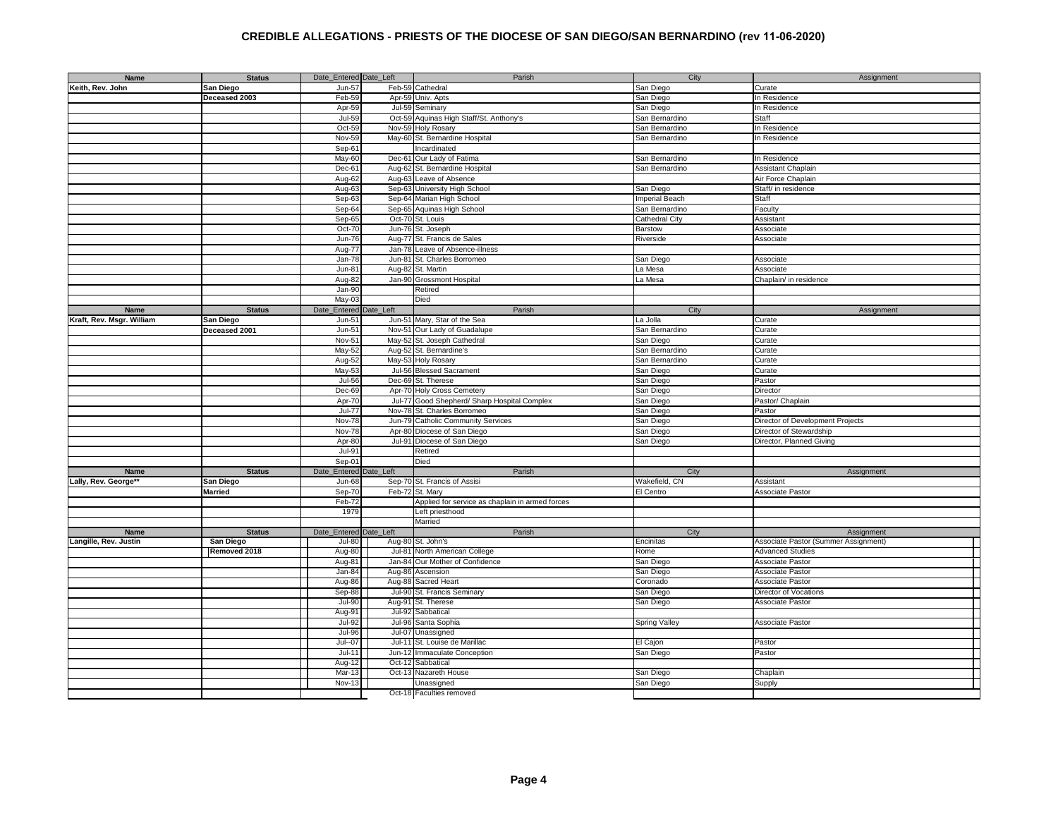| Name                      | <b>Status</b>  | Date_Entered Date_Left |               | Parish                                          | City           | Assignment                           |
|---------------------------|----------------|------------------------|---------------|-------------------------------------------------|----------------|--------------------------------------|
| Keith, Rev. John          | San Diego      | Jun-57                 |               | Feb-59 Cathedral                                | San Diego      | Curate                               |
|                           | Deceased 2003  | Feb-59                 |               | Apr-59 Univ. Apts                               | San Diego      | In Residence                         |
|                           |                | Apr-59                 |               | Jul-59 Seminary                                 | San Diego      | In Residence                         |
|                           |                | Jul-59                 |               | Oct-59 Aquinas High Staff/St. Anthony's         | San Bernardino | Staff                                |
|                           |                | Oct-5                  |               | Nov-59 Holy Rosary                              | San Bernardino | In Residence                         |
|                           |                | Nov-59                 |               | May-60 St. Bernardine Hospital                  | San Bernardino | In Residence                         |
|                           |                |                        |               |                                                 |                |                                      |
|                           |                | Sep-61                 |               | ncardinated                                     |                |                                      |
|                           |                | May-60                 |               | Dec-61 Our Lady of Fatima                       | San Bernardino | In Residence                         |
|                           |                | Dec-61                 |               | Aug-62 St. Bernardine Hospital                  | San Bernardino | Assistant Chaplain                   |
|                           |                | Aug-62                 |               | Aug-63 Leave of Absence                         |                | Air Force Chaplain                   |
|                           |                | Aug-63                 |               | Sep-63 University High School                   | San Diego      | Staff/ in residence                  |
|                           |                | Sep-63                 |               | Sep-64 Marian High School                       | Imperial Beach | Staff                                |
|                           |                | Sep-64                 |               | Sep-65 Aquinas High School                      | San Bernardino | Faculty                              |
|                           |                | Sep-65                 |               | Oct-70 St. Louis                                | Cathedral City | Assistant                            |
|                           |                | Oct-70                 |               | Jun-76 St. Joseph                               | Barstow        | Associate                            |
|                           |                | $Jun-76$               |               | Aug-77 St. Francis de Sales                     | Riverside      | Associate                            |
|                           |                | Aug-77                 | Jan-78        | Leave of Absence-illness                        |                |                                      |
|                           |                | $Jan-78$               | <b>Jun-81</b> | St. Charles Borromeo                            | San Diego      | Associate                            |
|                           |                | $Jun-81$               | Aug-82        | St. Martin                                      | La Mesa        | Associate                            |
|                           |                | Aug-82                 |               | Jan-90 Grossmont Hospital                       | La Mesa        | Chaplain/ in residence               |
|                           |                | $Jan-90$               |               | Retired                                         |                |                                      |
|                           |                | May-03                 |               | Died                                            |                |                                      |
| Name                      | <b>Status</b>  | Date_Entered           | Date_Left     | Parish                                          | City           | Assignment                           |
|                           |                | Jun-51                 |               | Jun-51 Mary, Star of the Sea                    | La Jolla       | Curate                               |
| Kraft, Rev. Msgr. William | San Diego      | $Jun-51$               |               |                                                 |                |                                      |
|                           | Deceased 2001  |                        |               | Nov-51 Our Lady of Guadalupe                    | San Bernardino | Curate                               |
|                           |                | Nov-51                 |               | May-52 St. Joseph Cathedral                     | San Diego      | Curate                               |
|                           |                | May-52                 |               | Aug-52 St. Bernardine's                         | San Bernardino | Curate                               |
|                           |                | Aug-52                 |               | May-53 Holy Rosary                              | San Bernardino | Curate                               |
|                           |                | May-53                 |               | Jul-56 Blessed Sacrament                        | San Diego      | Curate                               |
|                           |                | $Jul-56$               |               | Dec-69 St. Therese                              | San Diego      | Pastor                               |
|                           |                | Dec-69                 |               | Apr-70 Holy Cross Cemetery                      | San Diego      | Director                             |
|                           |                | Apr-70                 |               | Jul-77 Good Shepherd/ Sharp Hospital Complex    | San Diego      | Pastor/ Chaplain                     |
|                           |                | <b>Jul-77</b>          |               | Nov-78 St. Charles Borromeo                     | San Diego      | Pastor                               |
|                           |                | Nov-78                 |               | Jun-79 Catholic Community Services              | San Diego      | Director of Development Projects     |
|                           |                | Nov-78                 |               | Apr-80 Diocese of San Diego                     | San Diego      | Director of Stewardship              |
|                           |                | Apr-80                 |               | Jul-91 Diocese of San Diego                     | San Diego      | Director, Planned Giving             |
|                           |                | $Jul-91$               |               | Retired                                         |                |                                      |
|                           |                | Sep-01                 |               | Died                                            |                |                                      |
| Name                      | <b>Status</b>  | Date_Entered           | Date_Left     | Parish                                          | City           | Assignment                           |
| Lally, Rev. George**      | San Diego      | Jun-68                 |               | Sep-70 St. Francis of Assisi                    | Wakefield, CN  | Assistant                            |
|                           | <b>Married</b> | Sep-70                 |               | Feb-72 St. Mary                                 | El Centro      | Associate Pastor                     |
|                           |                | Feb-72                 |               | Applied for service as chaplain in armed forces |                |                                      |
|                           |                | 1979                   |               | Left priesthood                                 |                |                                      |
|                           |                |                        |               | Married                                         |                |                                      |
| <b>Name</b>               | <b>Status</b>  | Date Entered           | Date Left     | Parish                                          | City           | Assignment                           |
| Langille, Rev. Justin     | San Diego      | <b>Jul-80</b>          |               | Aug-80 St. John's                               | Encinitas      | Associate Pastor (Summer Assignment) |
|                           | Removed 2018   | Aug-80                 |               | Jul-81 North American College                   | Rome           | <b>Advanced Studies</b>              |
|                           |                | Aug-81                 |               | Jan-84 Our Mother of Confidence                 | San Diego      | <b>Associate Pastor</b>              |
|                           |                | Jan-84                 |               | Aug-86 Ascension                                |                | <b>Associate Pastor</b>              |
|                           |                |                        |               |                                                 | San Diego      |                                      |
|                           |                | Aug-86                 |               | Aug-88 Sacred Heart                             | Coronado       | <b>Associate Pastor</b>              |
|                           |                | Sep-88                 |               | Jul-90 St. Francis Seminary                     | San Diego      | Director of Vocations                |
|                           |                | Jul-90                 |               | Aug-91 St. Therese                              | San Diego      | Associate Pastor                     |
|                           |                | Aug-91                 |               | Jul-92 Sabbatical                               |                |                                      |
|                           |                | Jul-92                 |               | Jul-96 Santa Sophia                             | Spring Valley  | <b>Associate Pastor</b>              |
|                           |                | <b>Jul-96</b>          |               | Jul-07 Unassigned                               |                |                                      |
|                           |                | Jul--07                |               | Jul-11 St. Louise de Marillac                   | El Cajon       | Pastor                               |
|                           |                | $Jul-11$               | Jun-12        | Immaculate Conception                           | San Diego      | Pastor                               |
|                           |                | Aug-12                 | Oct-12        | Sabbatical                                      |                |                                      |
|                           |                | Mar-13                 |               | Oct-13 Nazareth House                           | San Diego      | Chaplain                             |
|                           |                | <b>Nov-13</b>          |               | Unassigned                                      | San Diego      | Supply                               |
|                           |                |                        |               | Oct-18 Faculties removed                        |                |                                      |
|                           |                |                        |               |                                                 |                |                                      |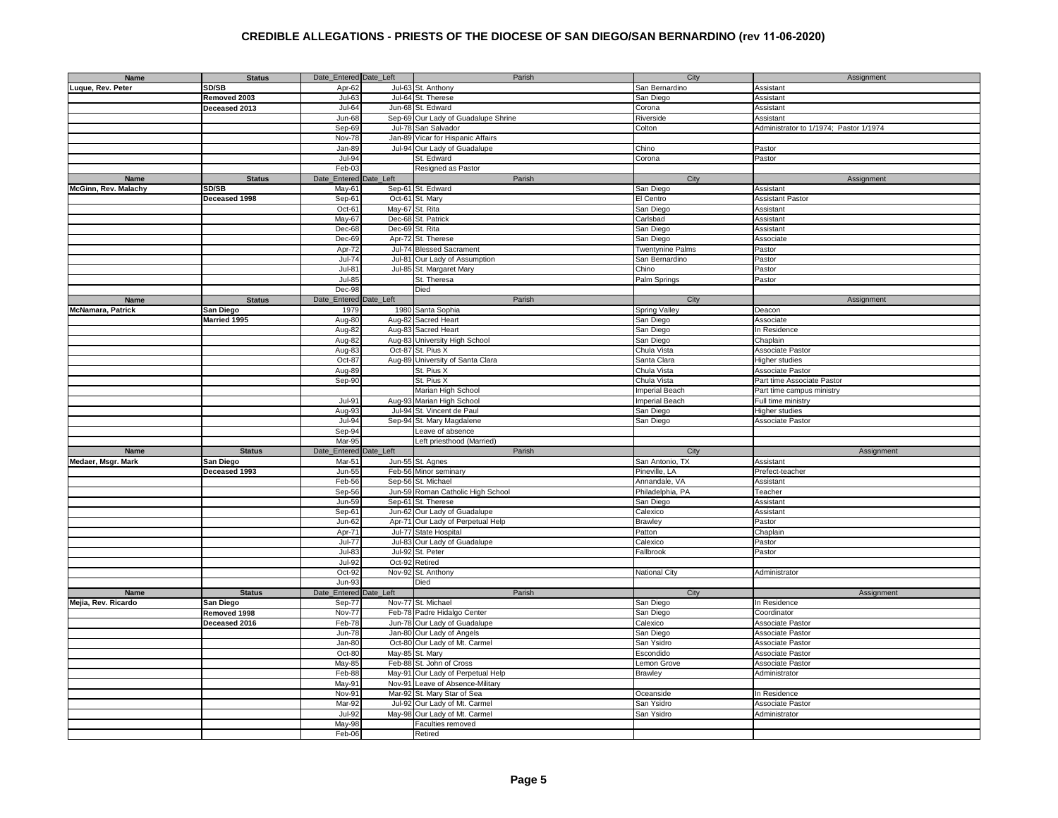| Name                     | <b>Status</b> | Date_Entered Date_Left |                 | Parish                              | City                    | Assignment                             |
|--------------------------|---------------|------------------------|-----------------|-------------------------------------|-------------------------|----------------------------------------|
| Luque, Rev. Peter        | SD/SB         | Apr-62                 |                 | Jul-63 St. Anthony                  | San Bernardino          | Assistant                              |
|                          | Removed 2003  | Jul-63                 |                 | Jul-64 St. Therese                  | San Diego               | Assistant                              |
|                          |               |                        |                 |                                     |                         |                                        |
|                          | Deceased 2013 | Jul-64                 |                 | Jun-68 St. Edward                   | Corona                  | Assistant                              |
|                          |               | Jun-68                 |                 | Sep-69 Our Lady of Guadalupe Shrine | Riverside               | Assistant                              |
|                          |               | Sep-69                 | <b>Jul-78</b>   | San Salvador                        | Colton                  | Administrator to 1/1974; Pastor 1/1974 |
|                          |               | Nov-78                 |                 | Jan-89 Vicar for Hispanic Affairs   |                         |                                        |
|                          |               | Jan-89                 |                 | Jul-94 Our Lady of Guadalupe        | Chino                   | Pastor                                 |
|                          |               | <b>Jul-94</b>          |                 | St. Edward                          | Corona                  | Pastor                                 |
|                          |               | Feb-03                 |                 | Resigned as Pastor                  |                         |                                        |
|                          |               |                        |                 |                                     |                         |                                        |
| Name                     | <b>Status</b> | Date_Entered           | Date_Left       | Parish                              | City                    | Assignment                             |
| McGinn, Rev. Malachy     | SD/SB         | May-61                 |                 | Sep-61 St. Edward                   | San Diego               | Assistant                              |
|                          | Deceased 1998 | Sep-61                 | Oct-61          | St. Mary                            | El Centro               | <b>Assistant Pastor</b>                |
|                          |               | Oct-61                 | May-67          | St. Rita                            | San Diego               | Assistant                              |
|                          |               | May-67                 |                 | Dec-68 St. Patrick                  | Carlsbad                | Assistant                              |
|                          |               | Dec-68                 | Dec-69 St. Rita |                                     | San Diego               | Assistant                              |
|                          |               | Dec-69                 |                 | Apr-72 St. Therese                  | San Diego               | Associate                              |
|                          |               |                        |                 |                                     |                         |                                        |
|                          |               | Apr-72                 |                 | Jul-74 Blessed Sacrament            | <b>Twentynine Palms</b> | Pastor                                 |
|                          |               | $Jul-74$               |                 | Jul-81 Our Lady of Assumption       | San Bernardino          | Pastor                                 |
|                          |               | Jul-81                 |                 | Jul-85 St. Margaret Mary            | Chino                   | Pastor                                 |
|                          |               | Jul-85                 |                 | St. Theresa                         | Palm Springs            | Pastor                                 |
|                          |               | Dec-98                 |                 | Died                                |                         |                                        |
| Name                     | <b>Status</b> | Date_Entered           | Date_Left       | Parish                              | City                    | Assignment                             |
| <b>McNamara, Patrick</b> | San Diego     | 1979                   | 1980            | Santa Sophia                        | Spring Valley           | Deacon                                 |
|                          |               | Aug-80                 | Aug-82          | Sacred Heart                        |                         |                                        |
|                          | Married 1995  |                        |                 |                                     | San Diego               | Associate                              |
|                          |               | Aug-82                 | Aug-83          | Sacred Heart                        | San Diego               | In Residence                           |
|                          |               | Aug-82                 |                 | Aug-83 University High School       | San Diego               | Chaplain                               |
|                          |               | Aug-83                 |                 | Oct-87 St. Pius X                   | Chula Vista             | Associate Pastor                       |
|                          |               | Oct-87                 |                 | Aug-89 University of Santa Clara    | Santa Clara             | Higher studies                         |
|                          |               | Aug-89                 |                 | St. Pius X                          | Chula Vista             | Associate Pastor                       |
|                          |               | Sep-90                 |                 | St. Pius X                          | Chula Vista             | Part time Associate Pastor             |
|                          |               |                        |                 |                                     |                         |                                        |
|                          |               |                        |                 | Marian High School                  | Imperial Beach          | Part time campus ministry              |
|                          |               | $Jul-9$                |                 | Aug-93 Marian High School           | Imperial Beach          | Full time ministry                     |
|                          |               | Aug-93                 |                 | Jul-94 St. Vincent de Paul          | San Diego               | Higher studies                         |
|                          |               | Jul-94                 |                 | Sep-94 St. Mary Magdalene           | San Diego               | Associate Pastor                       |
|                          |               | Sep-94                 |                 | Leave of absence                    |                         |                                        |
|                          |               | Mar-95                 |                 | Left priesthood (Married)           |                         |                                        |
| <b>Name</b>              | <b>Status</b> | Date_Entered           | Date_Left       | Parish                              | City                    | Assignment                             |
| Medaer, Msgr. Mark       |               | Mar-51                 |                 | Jun-55 St. Agnes                    |                         |                                        |
|                          | San Diego     |                        |                 |                                     | San Antonio, TX         | Assistant                              |
|                          | Deceased 1993 | Jun-55                 |                 | Feb-56 Minor seminary               | Pineville, LA           | Prefect-teacher                        |
|                          |               | Feb-56                 |                 | Sep-56 St. Michael                  | Annandale, VA           | Assistant                              |
|                          |               | Sep-56                 |                 | Jun-59 Roman Catholic High School   | Philadelphia, PA        | Teacher                                |
|                          |               | Jun-59                 |                 | Sep-61 St. Therese                  | San Diego               | Assistant                              |
|                          |               | Sep-61                 |                 | Jun-62 Our Lady of Guadalupe        | Calexico                | Assistant                              |
|                          |               | Jun-62                 |                 | Apr-71 Our Lady of Perpetual Help   | <b>Brawley</b>          | Pastor                                 |
|                          |               | Apr-71                 | <b>Jul-77</b>   | State Hospital                      | Patton                  | Chaplain                               |
|                          |               | Jul-77                 |                 |                                     |                         |                                        |
|                          |               |                        |                 | Jul-83 Our Lady of Guadalupe        | Calexico                | Pastor                                 |
|                          |               | $Jul-83$               | <b>Jul-92</b>   | St. Peter                           | Fallbrook               | Pastor                                 |
|                          |               | $Jul-92$               |                 | Oct-92 Retired                      |                         |                                        |
|                          |               | $Oct-92$               | <b>Nov-92</b>   | St. Anthony                         | <b>National City</b>    | Administrator                          |
|                          |               | Jun-93                 |                 | Died                                |                         |                                        |
| Name                     | <b>Status</b> | Date_Entered           | Date_Left       | Parish                              | City                    | Assignment                             |
| Mejia, Rev. Ricardo      | San Diego     | Sep-77                 |                 | Nov-77 St. Michael                  | San Diego               | In Residence                           |
|                          | Removed 1998  | Nov-77                 |                 | Feb-78 Padre Hidalgo Center         | San Diego               | Coordinator                            |
|                          |               | Feb-78                 |                 |                                     |                         |                                        |
|                          | Deceased 2016 |                        |                 | Jun-78 Our Lady of Guadalupe        | Calexico                | Associate Pastor                       |
|                          |               | $Jun-78$               |                 | Jan-80 Our Lady of Angels           | San Diego               | Associate Pastor                       |
|                          |               | Jan-80                 | Oct-80          | Our Lady of Mt. Carmel              | San Ysidro              | Associate Pastor                       |
|                          |               | Oct-80                 |                 | May-85 St. Mary                     | Escondido               | Associate Pastor                       |
|                          |               | May-85                 |                 | Feb-88 St. John of Cross            | Lemon Grove             | Associate Pastor                       |
|                          |               | Feb-88                 | May-91          | Our Lady of Perpetual Help          | <b>Brawley</b>          | Administrator                          |
|                          |               | May-91                 | Nov-91          | Leave of Absence-Military           |                         |                                        |
|                          |               | Nov-91                 |                 |                                     | Oceanside               |                                        |
|                          |               |                        |                 | Mar-92 St. Mary Star of Sea         |                         | In Residence                           |
|                          |               | Mar-92                 |                 | Jul-92 Our Lady of Mt. Carmel       | San Ysidro              | Associate Pastor                       |
|                          |               | Jul-92                 |                 | May-98 Our Lady of Mt. Carmel       | San Ysidro              | Administrator                          |
|                          |               | May-98                 |                 | Faculties removed                   |                         |                                        |
|                          |               | Feb-06                 |                 | Retired                             |                         |                                        |
|                          |               |                        |                 |                                     |                         |                                        |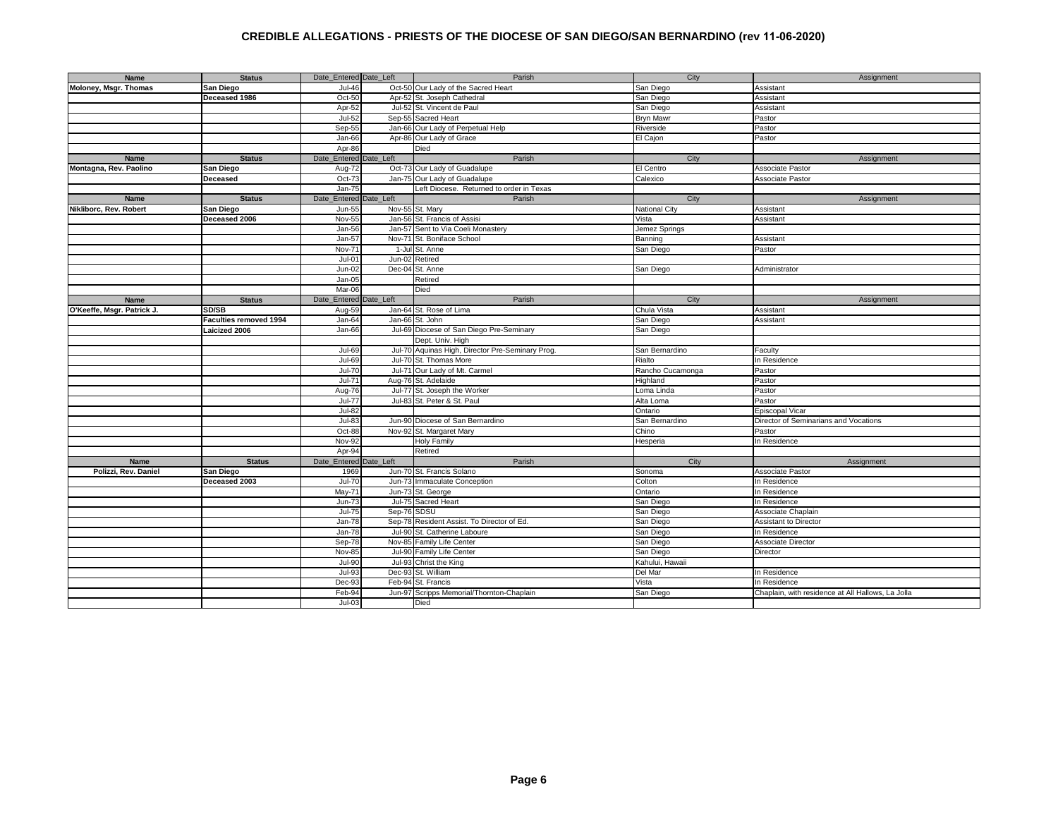| Name                       | <b>Status</b>                 | Date Entered Date Left | Parish                                           | City             | Assignment                                        |
|----------------------------|-------------------------------|------------------------|--------------------------------------------------|------------------|---------------------------------------------------|
| Moloney, Msgr. Thomas      | San Diego                     | <b>Jul-46</b>          | Oct-50 Our Lady of the Sacred Heart              | San Diego        | Assistant                                         |
|                            | Deceased 1986                 | Oct-50                 | Apr-52 St. Joseph Cathedral                      | San Diego        | Assistant                                         |
|                            |                               | Apr-52                 | Jul-52 St. Vincent de Paul                       | San Diego        | Assistant                                         |
|                            |                               | $Jul-52$               | Sep-55 Sacred Heart                              | <b>Bryn Mawr</b> | Pastor                                            |
|                            |                               | Sep-55                 | Jan-66 Our Lady of Perpetual Help                | Riverside        | Pastor                                            |
|                            |                               | Jan-66                 | Apr-86 Our Lady of Grace                         | El Cajon         | Pastor                                            |
|                            |                               | Apr-86                 | Died                                             |                  |                                                   |
|                            |                               |                        | Parish                                           |                  |                                                   |
| Name                       | <b>Status</b>                 | Date_Entered Date_Left |                                                  | City             | Assignment                                        |
| Montagna, Rev. Paolino     | San Diego                     | Oct-73<br>Aug-72       | Our Lady of Guadalupe                            | El Centro        | Associate Pastor                                  |
|                            | Deceased                      | Oct-73                 | Jan-75 Our Lady of Guadalupe                     | Calexico         | Associate Pastor                                  |
|                            |                               | Jan-75                 | Left Diocese. Returned to order in Texas         |                  |                                                   |
| <b>Name</b>                | <b>Status</b>                 | Date Entered Date Left | Parish                                           | City             | Assignment                                        |
| Nikliborc, Rev. Robert     | San Diego                     | Jun-55                 | Nov-55 St. Mary                                  | National City    | Assistant                                         |
|                            | Deceased 2006                 | Nov-55                 | Jan-56 St. Francis of Assisi                     | Vista            | Assistant                                         |
|                            |                               | Jan-56                 | Jan-57 Sent to Via Coeli Monastery               | Jemez Springs    |                                                   |
|                            |                               | Jan-57                 | Nov-71 St. Boniface School                       | Banning          | Assistant                                         |
|                            |                               | Nov-71                 | 1-Jul St. Anne                                   | San Diego        | Pastor                                            |
|                            |                               | $Jul-01$<br>Jun-02     | Retired                                          |                  |                                                   |
|                            |                               | Jun-02                 | Dec-04 St. Anne                                  | San Diego        | Administrator                                     |
|                            |                               | $Jan-05$               | Retired                                          |                  |                                                   |
|                            |                               | Mar-06                 | Died                                             |                  |                                                   |
| Name                       | <b>Status</b>                 | Date_Entered Date_Left | Parish                                           | City             | Assignment                                        |
| O'Keeffe, Msgr. Patrick J. | SD/SB                         | Aug-59                 | Jan-64 St. Rose of Lima                          | Chula Vista      | Assistant                                         |
|                            | <b>Faculties removed 1994</b> | Jan-64                 | Jan-66 St. John                                  | San Diego        | Assistant                                         |
|                            | Laicized 2006                 | Jan-66                 | Jul-69 Diocese of San Diego Pre-Seminary         | San Diego        |                                                   |
|                            |                               |                        | Dept. Univ. High                                 |                  |                                                   |
|                            |                               | Jul-69                 | Jul-70 Aquinas High, Director Pre-Seminary Prog. | San Bernardino   | Faculty                                           |
|                            |                               | Jul-69                 | Jul-70 St. Thomas More                           | Rialto           |                                                   |
|                            |                               | $Jul-70$               |                                                  |                  | In Residence                                      |
|                            |                               |                        | Jul-71 Our Lady of Mt. Carmel                    | Rancho Cucamonga | Pastor                                            |
|                            |                               | Jul-71                 | Aug-76 St. Adelaide                              | lighland         | Pastor                                            |
|                            |                               | Aug-76                 | Jul-77 St. Joseph the Worker                     | Loma Linda       | Pastor                                            |
|                            |                               | <b>Jul-77</b>          | Jul-83 St. Peter & St. Paul                      | Alta Loma        | Pastor                                            |
|                            |                               | $Jul-82$               |                                                  | Ontario          | Episcopal Vicar                                   |
|                            |                               | $Jul-83$               | Jun-90 Diocese of San Bernardino                 | San Bernardino   | Director of Seminarians and Vocations             |
|                            |                               | Oct-88                 | Nov-92 St. Margaret Mary                         | Chino            | Pastor                                            |
|                            |                               | <b>Nov-92</b>          | <b>Holy Family</b>                               | Hesperia         | In Residence                                      |
|                            |                               | Apr-94                 | Retired                                          |                  |                                                   |
| Name                       | <b>Status</b>                 | Date_Entered Date_Left | Parish                                           | City             | Assignment                                        |
| Polizzi, Rev. Daniel       | San Diego                     | 1969                   | Jun-70 St. Francis Solano                        | Sonoma           | Associate Pastor                                  |
|                            | Deceased 2003                 | <b>Jul-70</b>          | Jun-73 Immaculate Conception                     | Colton           | In Residence                                      |
|                            |                               | May-71                 | Jun-73 St. George                                | Ontario          | In Residence                                      |
|                            |                               | $Jun-73$               | Jul-75 Sacred Heart                              | San Diego        | In Residence                                      |
|                            |                               | Sep-76 SDSU<br>Jul-75  |                                                  | San Diego        | Associate Chaplain                                |
|                            |                               | Jan-78                 | Sep-78 Resident Assist. To Director of Ed.       | San Diego        | Assistant to Director                             |
|                            |                               | $Jan-78$               | Jul-90 St. Catherine Laboure                     | San Diego        | In Residence                                      |
|                            |                               | Sep-78                 | Nov-85 Family Life Center                        | San Diego        | Associate Director                                |
|                            |                               | Nov-85                 | Jul-90 Family Life Center                        | San Diego        | Director                                          |
|                            |                               | $Jul-90$               | Jul-93 Christ the King                           | Kahului, Hawaii  |                                                   |
|                            |                               | $Jul-93$               | Dec-93 St. William                               | Del Mar          | In Residence                                      |
|                            |                               |                        |                                                  | Vista            | In Residence                                      |
|                            |                               | Dec-93                 | Feb-94 St. Francis                               |                  |                                                   |
|                            |                               | Feb-94                 | Jun-97 Scripps Memorial/Thornton-Chaplain        | San Diego        | Chaplain, with residence at All Hallows, La Jolla |
|                            |                               | $Jul-03$               | Died                                             |                  |                                                   |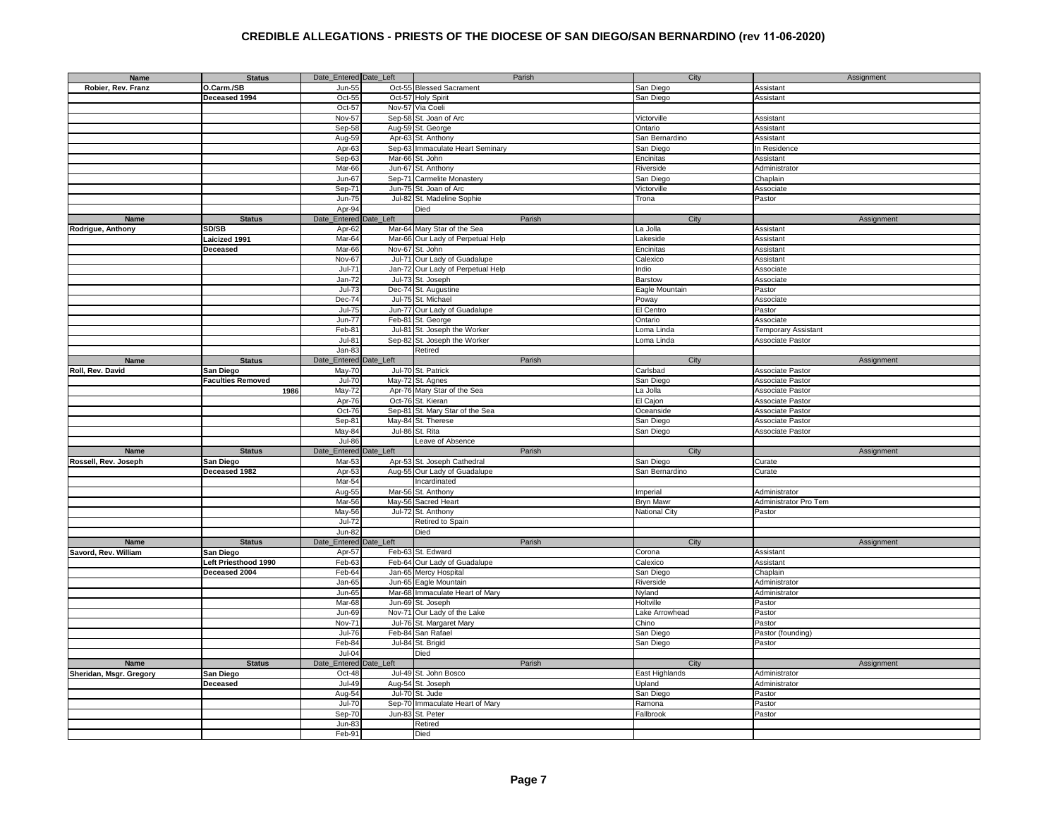| Name                    | <b>Status</b>            | Date_Entered Date_Left |               | Parish                            | City                 | Assignment            |
|-------------------------|--------------------------|------------------------|---------------|-----------------------------------|----------------------|-----------------------|
| Robier, Rev. Franz      | O.Carm./SB               | Jun-55                 |               | Oct-55 Blessed Sacrament          | San Diego            | Assistant             |
|                         | Deceased 1994            | Oct-55                 |               | Oct-57 Holy Spirit                | San Diego            | Assistant             |
|                         |                          | $Oct-57$               | Nov-57        | Via Coeli                         |                      |                       |
|                         |                          |                        |               |                                   |                      |                       |
|                         |                          | Nov-57                 | Sep-58        | St. Joan of Arc                   | Victorville          | Assistant             |
|                         |                          | $Sep-58$               | Aug-59        | St. George                        | Ontario              | Assistant             |
|                         |                          | Aug-59                 | Apr-63        | St. Anthony                       | San Bernardino       | Assistant             |
|                         |                          | Apr-63                 | Sep-63        | Immaculate Heart Seminary         | San Diego            | In Residence          |
|                         |                          | $Sep-63$               | Mar-66        | St. John                          | Encinitas            | Assistant             |
|                         |                          | Mar-66                 | Jun-67        | St. Anthony                       | Riverside            | Administrator         |
|                         |                          | $Jun-67$               |               | Sep-71 Carmelite Monastery        | San Diego            | Chaplain              |
|                         |                          |                        |               |                                   |                      |                       |
|                         |                          | Sep-71                 |               | Jun-75 St. Joan of Arc            | Victorville          | Associate             |
|                         |                          | $Jun-75$               |               | Jul-82 St. Madeline Sophie        | Trona                | Pastor                |
|                         |                          | Apr-94                 |               | Died                              |                      |                       |
| Name                    | <b>Status</b>            | Date_Entered           | Date_Left     | Parish                            | City                 | Assignment            |
| Rodrigue, Anthony       | SD/SB                    | Apr-62                 |               | Mar-64 Mary Star of the Sea       | La Jolla             | Assistant             |
|                         | Laicized 1991            | Mar-64                 |               | Mar-66 Our Lady of Perpetual Help | Lakeside             | Assistant             |
|                         | <b>Deceased</b>          | Mar-66                 |               | Nov-67 St. John                   | Encinitas            | Assistant             |
|                         |                          |                        |               |                                   |                      |                       |
|                         |                          | Nov-67                 |               | Jul-71 Our Lady of Guadalupe      | Calexico             | Assistant             |
|                         |                          | Jul-7                  | <b>Jan-72</b> | Our Lady of Perpetual Help        | Indio                | Associate             |
|                         |                          | Jan-72                 |               | Jul-73 St. Joseph                 | <b>Barstow</b>       | Associate             |
|                         |                          | Jul-7:                 |               | Dec-74 St. Augustine              | Eagle Mountain       | Pastor                |
|                         |                          | $Dec-74$               | <b>Jul-75</b> | St. Michael                       | Poway                | Associate             |
|                         |                          | $Jul-75$               | <b>Jun-77</b> | Our Lady of Guadalupe             | El Centro            | Pastor                |
|                         |                          | $Jun-77$               | Feb-81        | St. George                        | Ontario              | Associate             |
|                         |                          | Feb-81                 |               |                                   |                      |                       |
|                         |                          |                        | Jul-81        | St. Joseph the Worker             | Loma Linda           | Temporary Assistant   |
|                         |                          | $Jul-81$               |               | Sep-82 St. Joseph the Worker      | Loma Linda           | Associate Pastor      |
|                         |                          | Jan-83                 |               | Retired                           |                      |                       |
| <b>Name</b>             | <b>Status</b>            | Date_Entered           | Date_Left     | Parish                            | City                 | Assignment            |
| Roll, Rev. David        | San Diego                | May-70                 |               | Jul-70 St. Patrick                | Carlsbad             | Associate Pastor      |
|                         | <b>Faculties Removed</b> | $Jul-70$               |               | May-72 St. Agnes                  | San Diego            | Associate Pastor      |
|                         | 1986                     | May-72                 | Apr-76        | Mary Star of the Sea              | La Jolla             | Associate Pastor      |
|                         |                          | Apr-76                 | Oct-76        | St. Kieran                        | El Cajon             |                       |
|                         |                          |                        |               |                                   |                      | Associate Pastor      |
|                         |                          | $Oct-76$               |               | Sep-81 St. Mary Star of the Sea   | Oceanside            | Associate Pastor      |
|                         |                          | Sep-81                 |               | May-84 St. Therese                | San Diego            | Associate Pastor      |
|                         |                          | May-84                 |               | Jul-86 St. Rita                   | San Diego            | Associate Pastor      |
|                         |                          | $Jul-86$               |               | eave of Absence                   |                      |                       |
| Name                    | <b>Status</b>            | Date_Entered           | Date_Left     | Parish                            | City                 | Assignment            |
| Rossell, Rev. Joseph    | San Diego                | Mar-53                 |               | Apr-53 St. Joseph Cathedral       | San Diego            | Curate                |
|                         | Deceased 1982            | Apr-53                 |               | Aug-55 Our Lady of Guadalupe      | San Bernardino       | Curate                |
|                         |                          | Mar-54                 |               | Incardinated                      |                      |                       |
|                         |                          |                        |               |                                   |                      |                       |
|                         |                          | Aug-55                 |               | Mar-56 St. Anthony                | Imperial             | Administrator         |
|                         |                          | Mar-56                 |               | May-56 Sacred Heart               | <b>Bryn Mawr</b>     | Administrator Pro Tem |
|                         |                          | May-56                 |               | Jul-72 St. Anthony                | <b>National City</b> | Pastor                |
|                         |                          | $Jul-72$               |               | Retired to Spain                  |                      |                       |
|                         |                          | $Jun-82$               |               | Died                              |                      |                       |
| Name                    | <b>Status</b>            | Date_Entered Date_Left |               | Parish                            | City                 | Assignment            |
| Savord, Rev. William    | San Diego                | Apr-57                 |               | Feb-63 St. Edward                 | Corona               | Assistant             |
|                         | Left Priesthood 1990     | Feb-63                 |               | Feb-64 Our Lady of Guadalupe      | Calexico             | Assistant             |
|                         | Deceased 2004            | Feb-64                 |               | Jan-65 Mercy Hospital             | San Diego            | Chaplain              |
|                         |                          |                        |               |                                   |                      |                       |
|                         |                          | Jan-65                 |               | Jun-65 Eagle Mountain             | Riverside            | Administrator         |
|                         |                          | Jun-65                 |               | Mar-68 Immaculate Heart of Mary   | Nyland               | Administrator         |
|                         |                          | Mar-68                 |               | Jun-69 St. Joseph                 | Holtville            | Pastor                |
|                         |                          | Jun-69                 |               | Nov-71 Our Lady of the Lake       | Lake Arrowhead       | Pastor                |
|                         |                          | Nov-71                 |               | Jul-76 St. Margaret Mary          | Chino                | Pastor                |
|                         |                          | $Jul-76$               |               | Feb-84 San Rafael                 | San Diego            | Pastor (founding)     |
|                         |                          | Feb-84                 |               | Jul-84 St. Brigid                 | San Diego            | Pastor                |
|                         |                          | $Jul-04$               |               | Died                              |                      |                       |
|                         |                          |                        | Date_Left     | Parish                            |                      |                       |
| Name                    | <b>Status</b>            | Date_Entered           |               |                                   | City                 | Assignment            |
| Sheridan, Msgr. Gregory | San Diego                | Oct-48                 |               | Jul-49 St. John Bosco             | East Highlands       | Administrator         |
|                         | <b>Deceased</b>          | $Jul-49$               |               | Aug-54 St. Joseph                 | Upland               | Administrator         |
|                         |                          | Aug-54                 |               | Jul-70 St. Jude                   | San Diego            | Pastor                |
|                         |                          | $Jul-70$               |               | Sep-70 Immaculate Heart of Mary   | Ramona               | Pastor                |
|                         |                          | Sep-70                 |               | Jun-83 St. Peter                  | Fallbrook            | Pastor                |
|                         |                          | $Jun-83$               |               | Retired                           |                      |                       |
|                         |                          | Feb-91                 |               | Died                              |                      |                       |
|                         |                          |                        |               |                                   |                      |                       |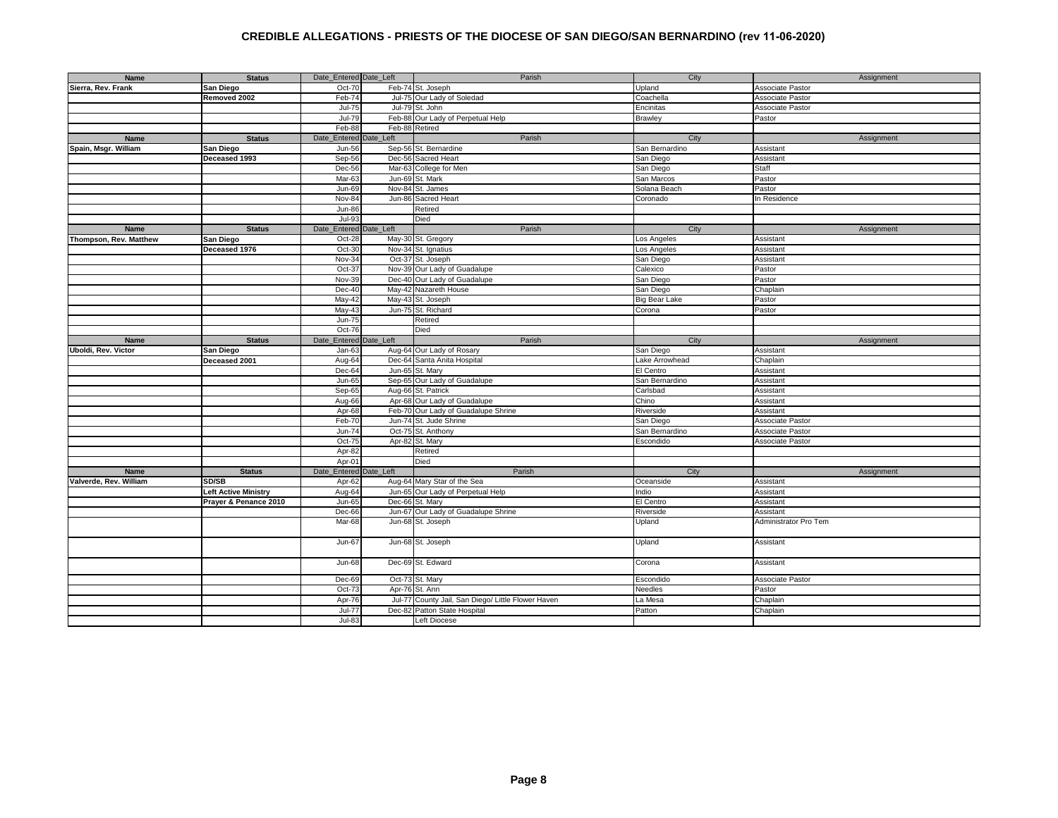| Name                   | <b>Status</b>               | Date_Entered Date_Left | Parish                                             | City                 | Assignment            |
|------------------------|-----------------------------|------------------------|----------------------------------------------------|----------------------|-----------------------|
| Sierra, Rev. Frank     | San Diego                   | Oct-70                 | Feb-74 St. Joseph                                  | Upland               | Associate Pastor      |
|                        | Removed 2002                | Feb-74                 | Jul-75 Our Lady of Soledad                         | Coachella            | Associate Pastor      |
|                        |                             | <b>Jul-75</b>          | Jul-79 St. John                                    | Encinitas            | Associate Pastor      |
|                        |                             | $Jul-79$               | Feb-88 Our Lady of Perpetual Help                  | Brawley              | Pastor                |
|                        |                             | Feb-88                 | Feb-88 Retired                                     |                      |                       |
| Name                   | <b>Status</b>               | Date_Entered Date_Left | Parish                                             | City                 | Assignment            |
| Spain, Msgr. William   | San Diego                   | Jun-56                 | Sep-56 St. Bernardine                              | San Bernardino       | Assistant             |
|                        | Deceased 1993               | Sep-56                 | Dec-56 Sacred Heart                                | San Diego            | Assistant             |
|                        |                             | Dec-56                 | Mar-63 College for Men                             | San Diego            | Staff                 |
|                        |                             | Mar-63                 | Jun-69 St. Mark                                    | San Marcos           | Pastor                |
|                        |                             | Jun-69                 |                                                    | Solana Beach         | Pastor                |
|                        |                             |                        | Nov-84 St. James                                   |                      |                       |
|                        |                             | Nov-84                 | Jun-86 Sacred Heart                                | Coronado             | In Residence          |
|                        |                             | $Jun-86$               | Retired                                            |                      |                       |
|                        |                             | Jul-93                 | Died                                               |                      |                       |
| Name                   | <b>Status</b>               | Date_Entered Date_Left | Parish                                             | City                 | Assignment            |
| Thompson, Rev. Matthew | San Diego                   | Oct-28                 | May-30 St. Gregory                                 | Los Angeles          | Assistant             |
|                        | Deceased 1976               | $Oct-30$               | Nov-34 St. Ignatius                                | Los Angeles          | Assistant             |
|                        |                             | Nov-34                 | Oct-37 St. Joseph                                  | San Diego            | Assistant             |
|                        |                             | $Oct-37$               | Nov-39 Our Lady of Guadalupe                       | Calexico             | Pastor                |
|                        |                             | Nov-39                 | Dec-40 Our Lady of Guadalupe                       | San Diego            | Pastor                |
|                        |                             | Dec-40                 | May-42 Nazareth House                              | San Diego            | Chaplain              |
|                        |                             | May-42                 | May-43 St. Joseph                                  | <b>Big Bear Lake</b> | Pastor                |
|                        |                             | May-43                 | Jun-75 St. Richard                                 | Corona               | Pastor                |
|                        |                             | <b>Jun-75</b>          | Retired                                            |                      |                       |
|                        |                             | Oct-76                 | Died                                               |                      |                       |
| Name                   | <b>Status</b>               | Date Entered Date Left | Parish                                             | City                 | Assignment            |
| Uboldi, Rev. Victor    | San Diego                   | $Jan-63$               | Aug-64 Our Lady of Rosary                          | San Diego            | Assistant             |
|                        | Deceased 2001               | Aug-64                 | Dec-64 Santa Anita Hospital                        | Lake Arrowhead       | Chaplain              |
|                        |                             | Dec-64                 | Jun-65 St. Mary                                    | El Centro            | Assistant             |
|                        |                             | Jun-65                 | Sep-65 Our Lady of Guadalupe                       | San Bernardino       | Assistant             |
|                        |                             | Sep-65                 | Aug-66 St. Patrick                                 | Carlsbad             | Assistant             |
|                        |                             | Aug-66                 | Apr-68 Our Lady of Guadalupe                       | Chino                | Assistant             |
|                        |                             | Apr-68                 | Feb-70 Our Lady of Guadalupe Shrine                | Riverside            | Assistant             |
|                        |                             | Feb-70                 | Jun-74 St. Jude Shrine                             | San Diego            | Associate Pastor      |
|                        |                             | Jun-74                 | Oct-75 St. Anthony                                 | San Bernardino       | Associate Pastor      |
|                        |                             | Oct-75                 | Apr-82 St. Mary                                    | Escondido            | Associate Pastor      |
|                        |                             | Apr-82                 | Retired                                            |                      |                       |
|                        |                             | Apr-01                 | Died                                               |                      |                       |
| <b>Name</b>            | <b>Status</b>               | Date_Entered Date_Left | Parish                                             | City                 | Assignment            |
| Valverde, Rev. William | SD/SB                       | Apr-62                 | Aug-64 Mary Star of the Sea                        | Oceanside            | Assistant             |
|                        | <b>Left Active Ministry</b> | Aug-64                 | Jun-65 Our Lady of Perpetual Help                  | Indio                | Assistant             |
|                        |                             | <b>Jun-65</b>          | Dec-66 St. Mary                                    | El Centro            | <b>Assistant</b>      |
|                        | Prayer & Penance 2010       |                        | Jun-67 Our Lady of Guadalupe Shrine                |                      |                       |
|                        |                             | Dec-66                 |                                                    | Riverside            | Assistant             |
|                        |                             | Mar-68                 | Jun-68 St. Joseph                                  | Upland               | Administrator Pro Tem |
|                        |                             | Jun-67                 | Jun-68 St. Joseph                                  | Upland               | Assistant             |
|                        |                             | <b>Jun-68</b>          | Dec-69 St. Edward                                  | Corona               | Assistant             |
|                        |                             | Dec-69                 | Oct-73 St. Mary                                    | Escondido            | Associate Pastor      |
|                        |                             | Oct-73                 | Apr-76 St. Ann                                     | Needles              | Pastor                |
|                        |                             | Apr-76                 | Jul-77 County Jail, San Diego/ Little Flower Haven | La Mesa              | Chaplain              |
|                        |                             | Jul-77                 | Dec-82 Patton State Hospital                       | Patton               | Chaplain              |
|                        |                             | $\overline{Ju}$ -83    | <b>Left Diocese</b>                                |                      |                       |
|                        |                             |                        |                                                    |                      |                       |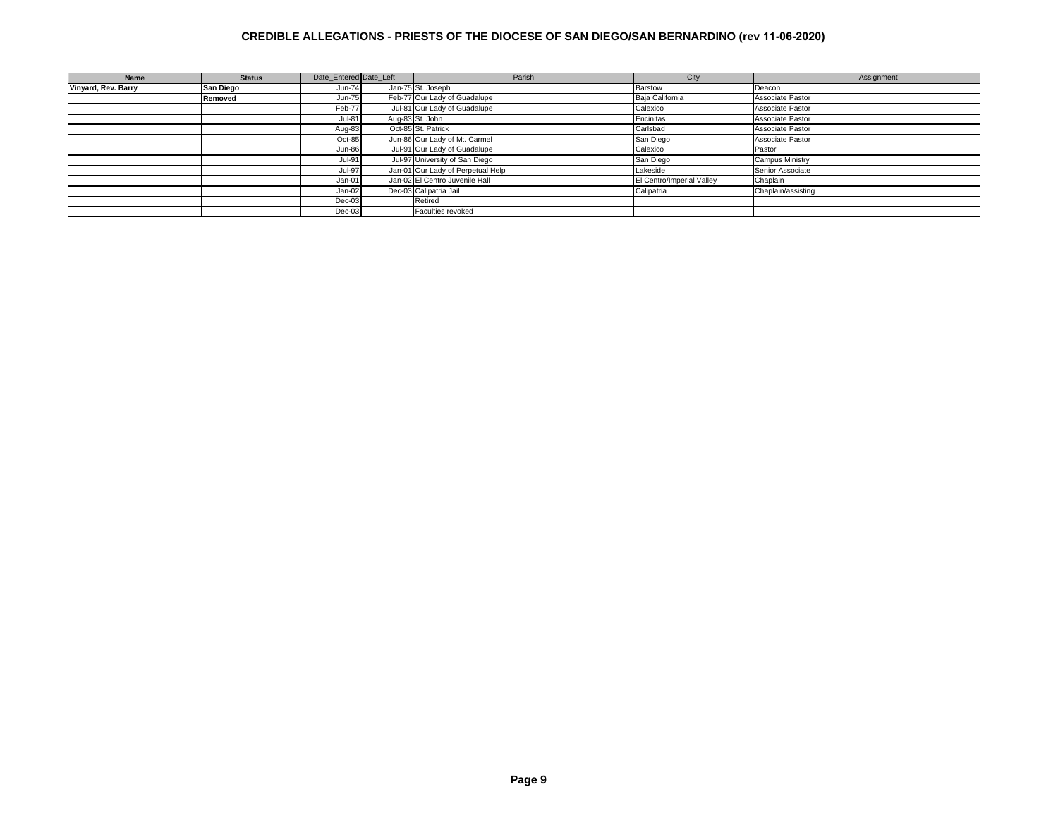| Name                | <b>Status</b> | Date Entered Date Left | Parish                            | City                      | Assignment             |
|---------------------|---------------|------------------------|-----------------------------------|---------------------------|------------------------|
| Vinyard, Rev. Barry | San Diego     | Jun-74                 | Jan-75 St. Joseph                 | Barstow                   | Deacon                 |
|                     | Removed       | <b>Jun-75</b>          | Feb-77 Our Lady of Guadalupe      | Baja California           | Associate Pastor       |
|                     |               | Feb-77                 | Jul-81 Our Lady of Guadalupe      | Calexico                  | Associate Pastor       |
|                     |               | <b>Jul-81</b>          | Aug-83 St. John                   | Encinitas                 | Associate Pastor       |
|                     |               | Aug-83                 | Oct-85 St. Patrick                | Carlsbad                  | Associate Pastor       |
|                     |               | Oct-85                 | Jun-86 Our Lady of Mt. Carmel     | San Diego                 | Associate Pastor       |
|                     |               | <b>Jun-86</b>          | Jul-91 Our Lady of Guadalupe      | Calexico                  | Pastor                 |
|                     |               | <b>Jul-91</b>          | Jul-97 University of San Diego    | San Diego                 | <b>Campus Ministry</b> |
|                     |               | <b>Jul-97</b>          | Jan-01 Our Lady of Perpetual Help | Lakeside                  | Senior Associate       |
|                     |               | Jan-01                 | Jan-02 El Centro Juvenile Hall    | El Centro/Imperial Valley | Chaplain               |
|                     |               | Jan-02                 | Dec-03 Calipatria Jail            | Calipatria                | Chaplain/assisting     |
|                     |               | $Dec-03$               | Retired                           |                           |                        |
|                     |               | $Dec-03$               | Faculties revoked                 |                           |                        |